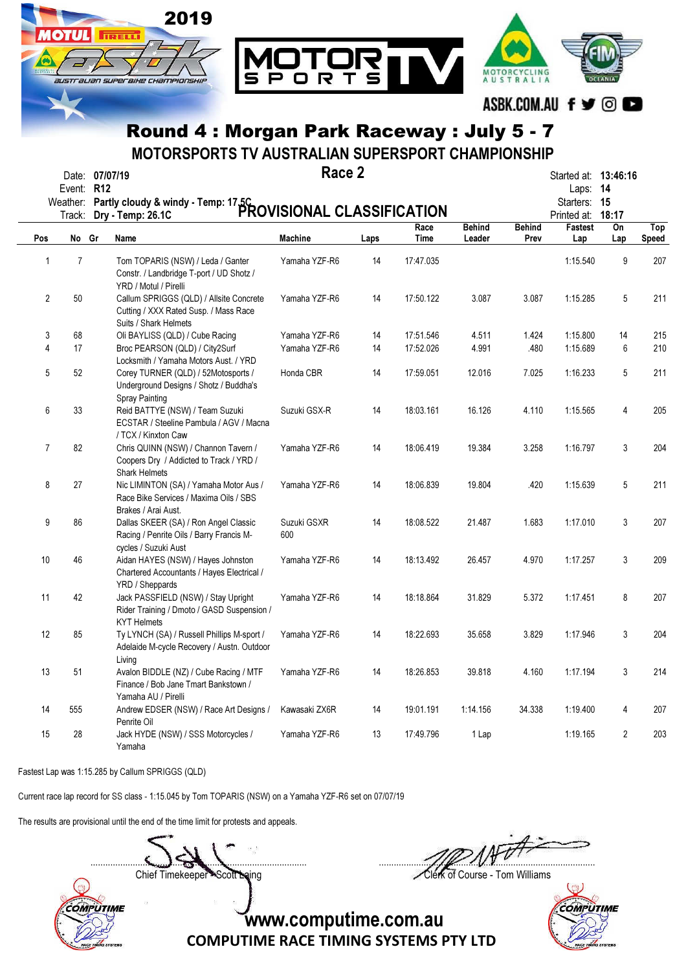

 $B = 22$ 

MOTORSPORTS TV AUSTRALIAN SUPERSPORT CHAMPIONSHIP

|                | Date: 07/07/19<br>Event: R12 | Weather: Partly cloudy & windy - Temp: 17.5C<br>Weather: Partly cloudy & windy - Temp: 17.5C<br>PROVISIONAL CLASSIFICATION | Race 2             |      |              |                         |                       | Started at: 13:46:16<br>Laps: 14<br>Starters: 15<br>Printed at: 18:17 |                |                     |
|----------------|------------------------------|----------------------------------------------------------------------------------------------------------------------------|--------------------|------|--------------|-------------------------|-----------------------|-----------------------------------------------------------------------|----------------|---------------------|
| Pos            | No Gr                        | Name                                                                                                                       | <b>Machine</b>     | Laps | Race<br>Time | <b>Behind</b><br>Leader | <b>Behind</b><br>Prev | Fastest<br>Lap                                                        | On<br>Lap      | Top<br><b>Speed</b> |
| 1              | $\overline{7}$               | Tom TOPARIS (NSW) / Leda / Ganter<br>Constr. / Landbridge T-port / UD Shotz /<br>YRD / Motul / Pirelli                     | Yamaha YZF-R6      | 14   | 17:47.035    |                         |                       | 1:15.540                                                              | 9              | 207                 |
| $\overline{2}$ | $50\,$                       | Callum SPRIGGS (QLD) / Allsite Concrete<br>Cutting / XXX Rated Susp. / Mass Race<br>Suits / Shark Helmets                  | Yamaha YZF-R6      | 14   | 17:50.122    | 3.087                   | 3.087                 | 1:15.285                                                              | 5              | 211                 |
| 3              | 68                           | Oli BAYLISS (QLD) / Cube Racing                                                                                            | Yamaha YZF-R6      | 14   | 17:51.546    | 4.511                   | 1.424                 | 1:15.800                                                              | 14             | 215                 |
| 4              | 17                           | Broc PEARSON (QLD) / City2Surf<br>Locksmith / Yamaha Motors Aust. / YRD                                                    | Yamaha YZF-R6      | 14   | 17:52.026    | 4.991                   | .480                  | 1:15.689                                                              | 6              | 210                 |
| 5              | 52                           | Corey TURNER (QLD) / 52Motosports /<br>Underground Designs / Shotz / Buddha's<br><b>Spray Painting</b>                     | Honda CBR          | 14   | 17:59.051    | 12.016                  | 7.025                 | 1:16.233                                                              | 5              | 211                 |
| 6              | 33                           | Reid BATTYE (NSW) / Team Suzuki<br>ECSTAR / Steeline Pambula / AGV / Macna<br>/ TCX / Kinxton Caw                          | Suzuki GSX-R       | 14   | 18:03.161    | 16.126                  | 4.110                 | 1:15.565                                                              | 4              | 205                 |
| 7              | 82                           | Chris QUINN (NSW) / Channon Tavern /<br>Coopers Dry / Addicted to Track / YRD /<br><b>Shark Helmets</b>                    | Yamaha YZF-R6      | 14   | 18:06.419    | 19.384                  | 3.258                 | 1:16.797                                                              | 3              | 204                 |
| 8              | 27                           | Nic LIMINTON (SA) / Yamaha Motor Aus /<br>Race Bike Services / Maxima Oils / SBS<br>Brakes / Arai Aust.                    | Yamaha YZF-R6      | 14   | 18:06.839    | 19.804                  | .420                  | 1:15.639                                                              | 5              | 211                 |
| 9              | 86                           | Dallas SKEER (SA) / Ron Angel Classic<br>Racing / Penrite Oils / Barry Francis M-<br>cycles / Suzuki Aust                  | Suzuki GSXR<br>600 | 14   | 18:08.522    | 21.487                  | 1.683                 | 1:17.010                                                              | 3              | 207                 |
| 10             | 46                           | Aidan HAYES (NSW) / Hayes Johnston<br>Chartered Accountants / Hayes Electrical /<br>YRD / Sheppards                        | Yamaha YZF-R6      | 14   | 18:13.492    | 26.457                  | 4.970                 | 1:17.257                                                              | 3              | 209                 |
| 11             | 42                           | Jack PASSFIELD (NSW) / Stay Upright<br>Rider Training / Dmoto / GASD Suspension /<br><b>KYT Helmets</b>                    | Yamaha YZF-R6      | 14   | 18:18.864    | 31.829                  | 5.372                 | 1:17.451                                                              | 8              | 207                 |
| 12             | 85                           | Ty LYNCH (SA) / Russell Phillips M-sport /<br>Adelaide M-cycle Recovery / Austn. Outdoor<br>Living                         | Yamaha YZF-R6      | 14   | 18:22.693    | 35.658                  | 3.829                 | 1:17.946                                                              | 3              | 204                 |
| 13             | 51                           | Avalon BIDDLE (NZ) / Cube Racing / MTF<br>Finance / Bob Jane Tmart Bankstown /<br>Yamaha AU / Pirelli                      | Yamaha YZF-R6      | 14   | 18:26.853    | 39.818                  | 4.160                 | 1:17.194                                                              | 3              | 214                 |
| 14             | 555                          | Andrew EDSER (NSW) / Race Art Designs /<br>Penrite Oil                                                                     | Kawasaki ZX6R      | 14   | 19:01.191    | 1:14.156                | 34.338                | 1:19.400                                                              | 4              | 207                 |
| 15             | 28                           | Jack HYDE (NSW) / SSS Motorcycles /<br>Yamaha                                                                              | Yamaha YZF-R6      | 13   | 17:49.796    | 1 Lap                   |                       | 1:19.165                                                              | $\overline{2}$ | 203                 |

Fastest Lap was 1:15.285 by Callum SPRIGGS (QLD)

Current race lap record for SS class - 1:15.045 by Tom TOPARIS (NSW) on a Yamaha YZF-R6 set on 07/07/19

The results are provisional until the end of the time limit for protests and appeals.

....................................................................................... .......................................................................................

COMPUTIME

Chief Timekeeper - Scott Laing Clerk of Course - Tom Williams

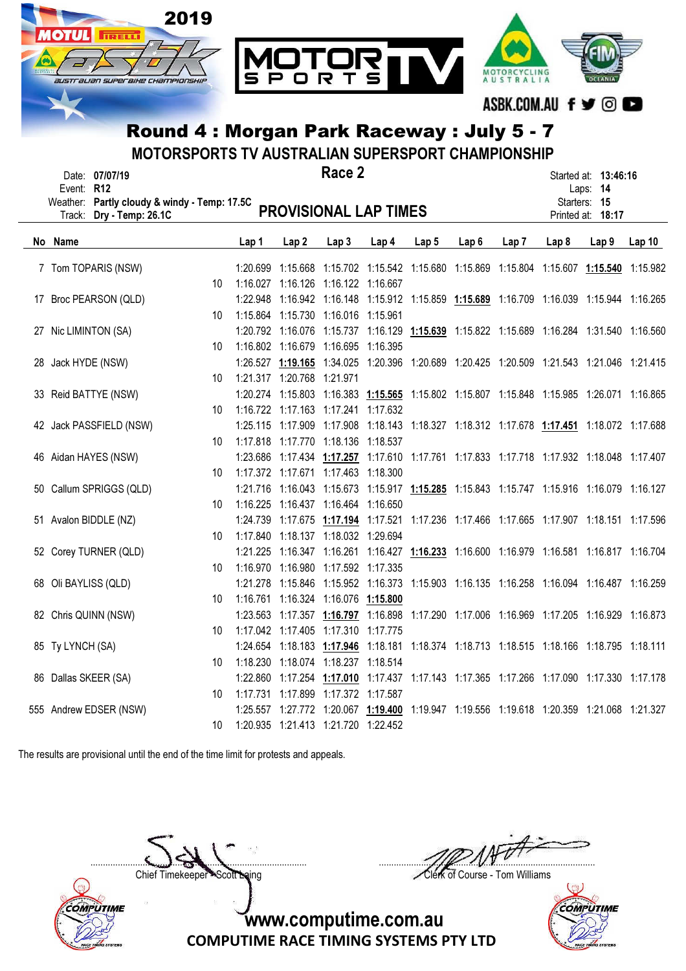

MOTORSPORTS TV AUSTRALIAN SUPERSPORT CHAMPIONSHIP

| Event: R12           | Date: 07/07/19                                                    |    |       |                            | Race 2                                 |                                                                                           |       |                                                       |       |       | Started at: 13:46:16<br>Laps: 14  |       |
|----------------------|-------------------------------------------------------------------|----|-------|----------------------------|----------------------------------------|-------------------------------------------------------------------------------------------|-------|-------------------------------------------------------|-------|-------|-----------------------------------|-------|
| Track:               | Weather: Partly cloudy & windy - Temp: 17.5C<br>Dry - Temp: 26.1C |    |       |                            |                                        | <b>PROVISIONAL LAP TIMES</b>                                                              |       |                                                       |       |       | Starters: 15<br>Printed at: 18:17 |       |
| No Name              |                                                                   |    | Lap 1 | Lap <sub>2</sub>           | Lap3                                   | Lap 4                                                                                     | Lap 5 | Lap 6                                                 | Lap 7 | Lap 8 | Lap <sub>9</sub>                  | Lap10 |
|                      | 7 Tom TOPARIS (NSW)                                               |    |       |                            |                                        | 1:20.699 1:15.668 1:15.702 1:15.542 1:15.680 1:15.869 1:15.804 1:15.607 1:15.540 1:15.982 |       |                                                       |       |       |                                   |       |
|                      |                                                                   | 10 |       |                            | 1:16.027 1:16.126 1:16.122 1:16.667    |                                                                                           |       |                                                       |       |       |                                   |       |
|                      | 17 Broc PEARSON (QLD)                                             |    |       |                            |                                        | 1:22.948 1:16.942 1:16.148 1:15.912 1:15.859 1:15.689 1:16.709 1:16.039 1:15.944 1:16.265 |       |                                                       |       |       |                                   |       |
|                      |                                                                   | 10 |       |                            | 1:15.864 1:15.730 1:16.016 1:15.961    |                                                                                           |       |                                                       |       |       |                                   |       |
| 27 Nic LIMINTON (SA) |                                                                   |    |       |                            |                                        | 1:20.792 1:16.076 1:15.737 1:16.129 1:15.639 1:15.822 1:15.689 1:16.284 1:31.540 1:16.560 |       |                                                       |       |       |                                   |       |
|                      |                                                                   | 10 |       |                            | 1:16.802 1:16.679 1:16.695 1:16.395    |                                                                                           |       |                                                       |       |       |                                   |       |
| 28 Jack HYDE (NSW)   |                                                                   |    |       |                            |                                        | 1:26.527 1:19.165 1:34.025 1:20.396 1:20.689 1:20.425 1:20.509 1:21.543 1:21.046 1:21.415 |       |                                                       |       |       |                                   |       |
|                      |                                                                   | 10 |       | 1:21.317 1:20.768 1:21.971 |                                        |                                                                                           |       |                                                       |       |       |                                   |       |
|                      | 33 Reid BATTYE (NSW)                                              |    |       |                            |                                        | 1:20.274 1:15.803 1:16.383 1:15.565 1:15.802 1:15.807 1:15.848 1:15.985 1:26.071 1:16.865 |       |                                                       |       |       |                                   |       |
|                      |                                                                   | 10 |       |                            | 1:16.722 1:17.163 1:17.241 1:17.632    |                                                                                           |       |                                                       |       |       |                                   |       |
|                      | 42 Jack PASSFIELD (NSW)                                           |    |       |                            |                                        | 1:25.115 1:17.909 1:17.908 1:18.143 1:18.327 1:18.312 1:17.678 1:17.451 1:18.072 1:17.688 |       |                                                       |       |       |                                   |       |
|                      |                                                                   | 10 |       |                            | 1:17.818 1:17.770 1:18.136 1:18.537    |                                                                                           |       |                                                       |       |       |                                   |       |
|                      | 46 Aidan HAYES (NSW)                                              |    |       |                            |                                        | 1:23.686 1:17.434 1:17.257 1:17.610 1:17.761 1:17.833 1:17.718 1:17.932 1:18.048 1:17.407 |       |                                                       |       |       |                                   |       |
|                      |                                                                   | 10 |       |                            | 1:17.372 1:17.671 1:17.463 1:18.300    |                                                                                           |       |                                                       |       |       |                                   |       |
|                      | 50 Callum SPRIGGS (QLD)                                           |    |       |                            |                                        | 1:21.716 1:16.043 1:15.673 1:15.917 1:15.285 1:15.843 1:15.747 1:15.916 1:16.079 1:16.127 |       |                                                       |       |       |                                   |       |
|                      |                                                                   | 10 |       |                            | 1:16.225 1:16.437 1:16.464 1:16.650    |                                                                                           |       |                                                       |       |       |                                   |       |
|                      | 51 Avalon BIDDLE (NZ)                                             |    |       |                            |                                        | 1:24.739 1:17.675 1:17.194 1:17.521 1:17.236 1:17.466 1:17.665 1:17.907 1:18.151 1:17.596 |       |                                                       |       |       |                                   |       |
|                      |                                                                   | 10 |       |                            | 1:17.840  1:18.137  1:18.032  1:29.694 |                                                                                           |       |                                                       |       |       |                                   |       |
|                      | 52 Corey TURNER (QLD)                                             |    |       |                            |                                        | 1:21.225 1:16.347 1:16.261 1:16.427 1:16.233 1:16.600 1:16.979 1:16.581 1:16.817 1:16.704 |       |                                                       |       |       |                                   |       |
|                      |                                                                   | 10 |       |                            | 1:16.970 1:16.980 1:17.592 1:17.335    |                                                                                           |       |                                                       |       |       |                                   |       |
| 68 Oli BAYLISS (QLD) |                                                                   |    |       |                            |                                        | 1:21.278 1:15.846 1:15.952 1:16.373 1:15.903 1:16.135 1:16.258 1:16.094 1:16.487 1:16.259 |       |                                                       |       |       |                                   |       |
|                      |                                                                   | 10 |       |                            | 1:16.761 1:16.324 1:16.076 1:15.800    |                                                                                           |       |                                                       |       |       |                                   |       |
|                      | 82 Chris QUINN (NSW)                                              |    |       |                            |                                        | 1:23.563 1:17.357 1:16.797 1:16.898                                                       |       | 1:17.290 1:17.006 1:16.969 1:17.205 1:16.929 1:16.873 |       |       |                                   |       |
|                      |                                                                   | 10 |       |                            | 1:17.042 1:17.405 1:17.310 1:17.775    |                                                                                           |       |                                                       |       |       |                                   |       |
| 85 Ty LYNCH (SA)     |                                                                   |    |       |                            |                                        | 1:24.654 1:18.183 1:17.946 1:18.181 1:18.374 1:18.713 1:18.515 1:18.166 1:18.795 1:18.111 |       |                                                       |       |       |                                   |       |
|                      |                                                                   | 10 |       |                            | 1:18.230  1:18.074  1:18.237  1:18.514 |                                                                                           |       |                                                       |       |       |                                   |       |
| 86 Dallas SKEER (SA) |                                                                   |    |       |                            |                                        | 1:22.860 1:17.254 1:17.010 1:17.437 1:17.143 1:17.365 1:17.266 1:17.090 1:17.330 1:17.178 |       |                                                       |       |       |                                   |       |
|                      |                                                                   | 10 |       |                            | 1:17.731  1:17.899  1:17.372  1:17.587 |                                                                                           |       |                                                       |       |       |                                   |       |
|                      | 555 Andrew EDSER (NSW)                                            |    |       |                            |                                        | 1:25.557 1:27.772 1:20.067 1:19.400 1:19.947 1:19.556 1:19.618 1:20.359 1:21.068 1:21.327 |       |                                                       |       |       |                                   |       |
|                      |                                                                   | 10 |       |                            | 1:20.935 1:21.413 1:21.720 1:22.452    |                                                                                           |       |                                                       |       |       |                                   |       |

The results are provisional until the end of the time limit for protests and appeals.



....................................................................................... ....................................................................................... Chief Timekeeper - Scott Laing Clerk of Course - Tom Williams

 $\cup$ **COMPUTIME**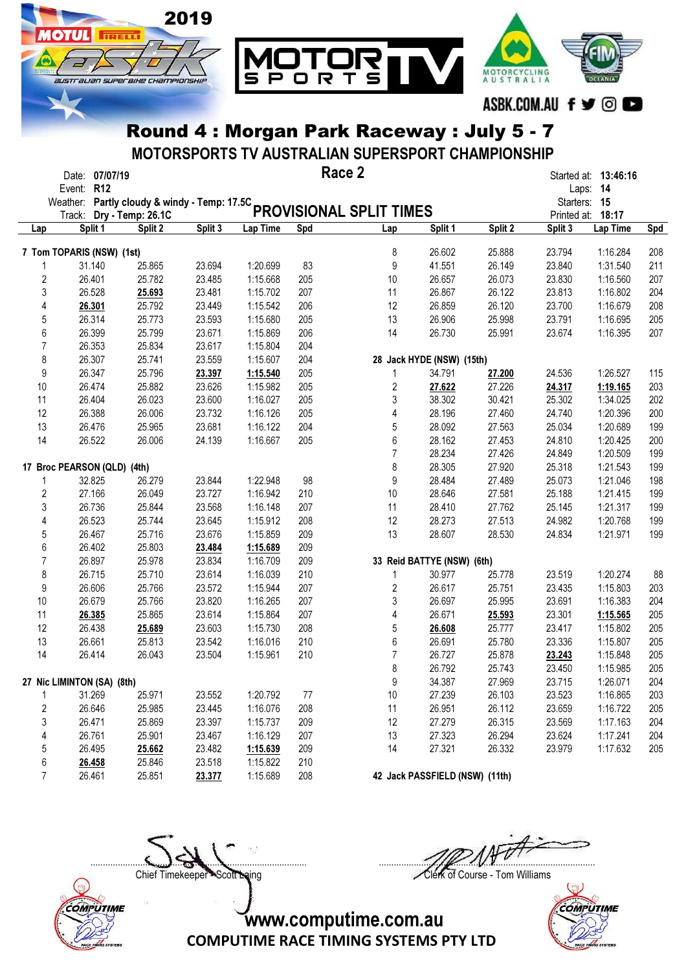

MOTORSPORTS TV AUSTRALIAN SUPERSPORT CHAMPIONSHIP

|                |                             | Date: 07/07/19 |                                              |         |          | Race 2 |                         |                                |         |              | Started at: 13:46:16 |     |
|----------------|-----------------------------|----------------|----------------------------------------------|---------|----------|--------|-------------------------|--------------------------------|---------|--------------|----------------------|-----|
|                | Event: R12                  |                |                                              |         |          |        |                         |                                |         |              | Laps: 14             |     |
|                |                             |                | Weather: Partly cloudy & windy - Temp: 17.5C |         |          |        |                         |                                |         | Starters: 15 |                      |     |
|                |                             |                | Track: Dry - Temp: 26.1C                     |         |          |        | PROVISIONAL SPLIT TIMES |                                |         |              | Printed at: 18:17    |     |
| Lap            |                             | Split 1        | Split 2                                      | Split 3 | Lap Time | Spd    | Lap                     | Split 1                        | Split 2 | Split 3      | Lap Time             | Spd |
|                | 7 Tom TOPARIS (NSW) (1st)   |                |                                              |         |          |        | 8                       | 26.602                         | 25.888  | 23.794       | 1:16.284             | 208 |
|                |                             | 31.140         | 25.865                                       | 23.694  | 1:20.699 | 83     | 9                       | 41.551                         | 26.149  | 23.840       | 1:31.540             | 211 |
| $\sqrt{2}$     |                             | 26.401         | 25.782                                       | 23.485  | 1:15.668 | 205    | 10                      | 26.657                         | 26.073  | 23.830       | 1:16.560             | 207 |
|                | 3                           | 26.528         | 25.693                                       | 23.481  | 1:15.702 | 207    | 11                      | 26.867                         | 26.122  | 23.813       | 1:16.802             | 204 |
| 4              |                             | 26.301         | 25.792                                       | 23.449  | 1:15.542 | 206    | 12                      | 26.859                         | 26.120  | 23.700       | 1:16.679             | 208 |
| 5              |                             | 26.314         | 25.773                                       | 23.593  | 1:15.680 | 205    | 13                      | 26.906                         | 25.998  | 23.791       | 1:16.695             | 205 |
| 6              |                             | 26.399         | 25.799                                       | 23.671  | 1:15.869 | 206    | 14                      | 26.730                         | 25.991  | 23.674       | 1:16.395             | 207 |
| $\overline{7}$ |                             | 26.353         | 25.834                                       | 23.617  | 1:15.804 | 204    |                         |                                |         |              |                      |     |
| 8              |                             | 26.307         | 25.741                                       | 23.559  | 1:15.607 | 204    |                         | 28 Jack HYDE (NSW) (15th)      |         |              |                      |     |
| 9              |                             | 26.347         | 25.796                                       | 23.397  | 1:15.540 | 205    | 1                       | 34.791                         | 27.200  | 24.536       | 1:26.527             | 115 |
| $10$           |                             | 26.474         | 25.882                                       | 23.626  | 1:15.982 | 205    | 2                       | 27.622                         | 27.226  | 24.317       | 1:19.165             | 203 |
| 11             |                             | 26.404         | 26.023                                       | 23.600  | 1:16.027 | 205    | 3                       | 38.302                         | 30.421  | 25.302       | 1:34.025             | 202 |
| 12             |                             | 26.388         | 26.006                                       | 23.732  | 1:16.126 | 205    | 4                       | 28.196                         | 27.460  | 24.740       | 1:20.396             | 200 |
| 13             |                             | 26.476         | 25.965                                       | 23.681  | 1:16.122 | 204    | 5                       | 28.092                         | 27.563  | 25.034       | 1:20.689             | 199 |
| 14             |                             | 26.522         | 26.006                                       | 24.139  | 1:16.667 | 205    | 6                       | 28.162                         | 27.453  | 24.810       | 1:20.425             | 200 |
|                |                             |                |                                              |         |          |        | 7                       | 28.234                         | 27.426  | 24.849       | 1:20.509             | 199 |
|                | 17 Broc PEARSON (QLD) (4th) |                |                                              |         |          |        | 8                       | 28.305                         | 27.920  | 25.318       | 1:21.543             | 199 |
|                |                             | 32.825         | 26.279                                       | 23.844  | 1:22.948 | 98     | 9                       | 28.484                         | 27.489  | 25.073       | 1:21.046             | 198 |
| $\sqrt{2}$     |                             | 27.166         | 26.049                                       | 23.727  | 1:16.942 | 210    | 10                      | 28.646                         | 27.581  | 25.188       | 1:21.415             | 199 |
|                | 3                           | 26.736         | 25.844                                       | 23.568  | 1:16.148 | 207    | 11                      | 28.410                         | 27.762  | 25.145       | 1:21.317             | 199 |
| 4              |                             | 26.523         | 25.744                                       | 23.645  | 1:15.912 | 208    | 12                      | 28.273                         | 27.513  | 24.982       | 1:20.768             | 199 |
|                |                             | 26.467         |                                              | 23.676  |          | 209    | 13                      |                                | 28.530  |              |                      |     |
| 5              |                             |                | 25.716                                       |         | 1:15.859 |        |                         | 28.607                         |         | 24.834       | 1:21.971             | 199 |
| 6              |                             | 26.402         | 25.803                                       | 23.484  | 1:15.689 | 209    |                         |                                |         |              |                      |     |
| $\overline{7}$ |                             | 26.897         | 25.978                                       | 23.834  | 1:16.709 | 209    |                         | 33 Reid BATTYE (NSW) (6th)     |         |              |                      |     |
| 8              |                             | 26.715         | 25.710                                       | 23.614  | 1:16.039 | 210    | 1                       | 30.977                         | 25.778  | 23.519       | 1:20.274             | 88  |
| 9              |                             | 26.606         | 25.766                                       | 23.572  | 1:15.944 | 207    | 2                       | 26.617                         | 25.751  | 23.435       | 1:15.803             | 203 |
| 10             |                             | 26.679         | 25.766                                       | 23.820  | 1:16.265 | 207    | 3                       | 26.697                         | 25.995  | 23.691       | 1:16.383             | 204 |
| 11             |                             | 26.385         | 25.865                                       | 23.614  | 1:15.864 | 207    | 4                       | 26.671                         | 25.593  | 23.301       | 1:15.565             | 205 |
| 12             |                             | 26.438         | 25.689                                       | 23.603  | 1:15.730 | 208    | 5                       | 26.608                         | 25.777  | 23.417       | 1:15.802             | 205 |
| 13             |                             | 26.661         | 25.813                                       | 23.542  | 1:16.016 | 210    | 6                       | 26.691                         | 25.780  | 23.336       | 1:15.807             | 205 |
| 14             |                             | 26.414         | 26.043                                       | 23.504  | 1:15.961 | 210    | $\overline{7}$          | 26.727                         | 25.878  | 23.243       | 1:15.848             | 205 |
|                |                             |                |                                              |         |          |        | 8                       | 26.792                         | 25.743  | 23.450       | 1:15.985             | 205 |
|                | 27 Nic LIMINTON (SA) (8th)  |                |                                              |         |          |        | 9                       | 34.387                         | 27.969  | 23.715       | 1:26.071             | 204 |
|                |                             | 31.269         | 25.971                                       | 23.552  | 1:20.792 | 77     | 10                      | 27.239                         | 26.103  | 23.523       | 1:16.865             | 203 |
| $\sqrt{2}$     |                             | 26.646         | 25.985                                       | 23.445  | 1:16.076 | 208    | 11                      | 26.951                         | 26.112  | 23.659       | 1:16.722             | 205 |
|                | 3                           | 26.471         | 25.869                                       | 23.397  | 1:15.737 | 209    | 12                      | 27.279                         | 26.315  | 23.569       | 1:17.163             | 204 |
| 4              |                             | 26.761         | 25.901                                       | 23.467  | 1:16.129 | 207    | 13                      | 27.323                         | 26.294  | 23.624       | 1:17.241             | 204 |
| 5              |                             | 26.495         | 25.662                                       | 23.482  | 1:15.639 | 209    | 14                      | 27.321                         | 26.332  | 23.979       | 1:17.632             | 205 |
| 6              |                             | 26.458         | 25.846                                       | 23.518  | 1:15.822 | 210    |                         |                                |         |              |                      |     |
|                | $\overline{7}$              | 26.461         | 25.851                                       | 23.377  | 1:15.689 | 208    |                         | 42 Jack PASSFIELD (NSW) (11th) |         |              |                      |     |



....................................................................................... ....................................................................................... Chief Timekeeper - Scott Laing Clerk of Course - Tom Williams



www.computime.com.au

COMPUTIME RACE TIMING SYSTEMS PTY LTD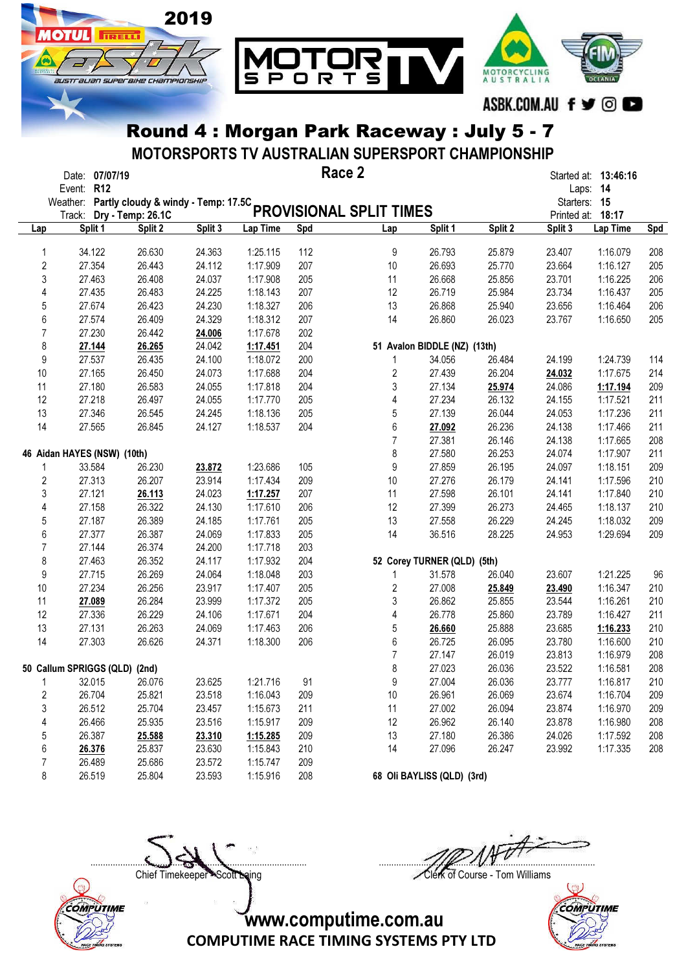

MOTORSPORTS TV AUSTRALIAN SUPERSPORT CHAMPIONSHIP

|                         | Date: 07/07/19                               |                              |         |          | Race 2 |                         |                              |         |              | Started at: 13:46:16 |            |
|-------------------------|----------------------------------------------|------------------------------|---------|----------|--------|-------------------------|------------------------------|---------|--------------|----------------------|------------|
|                         | Event: R12                                   |                              |         |          |        |                         |                              |         |              | Laps: 14             |            |
|                         | Weather: Partly cloudy & windy - Temp: 17.5C |                              |         |          |        | PROVISIONAL SPLIT TIMES |                              |         | Starters: 15 | Printed at: 18:17    |            |
|                         | Track:<br>Split 1                            | Dry - Temp: 26.1C<br>Split 2 | Split 3 | Lap Time | Spd    | Lap                     | Split 1                      | Split 2 | Split 3      | Lap Time             |            |
| Lap                     |                                              |                              |         |          |        |                         |                              |         |              |                      | <b>Spd</b> |
| 1                       | 34.122                                       | 26.630                       | 24.363  | 1:25.115 | 112    | 9                       | 26.793                       | 25.879  | 23.407       | 1:16.079             | 208        |
| $\overline{\mathbf{c}}$ | 27.354                                       | 26.443                       | 24.112  | 1:17.909 | 207    | 10                      | 26.693                       | 25.770  | 23.664       | 1:16.127             | 205        |
| 3                       | 27.463                                       | 26.408                       | 24.037  | 1:17.908 | 205    | 11                      | 26.668                       | 25.856  | 23.701       | 1:16.225             | 206        |
| 4                       | 27.435                                       | 26.483                       | 24.225  | 1:18.143 | 207    | 12                      | 26.719                       | 25.984  | 23.734       | 1:16.437             | 205        |
| 5                       | 27.674                                       | 26.423                       | 24.230  | 1:18.327 | 206    | 13                      | 26.868                       | 25.940  | 23.656       | 1:16.464             | 206        |
| 6                       | 27.574                                       | 26.409                       | 24.329  | 1:18.312 | 207    | 14                      | 26.860                       | 26.023  | 23.767       | 1:16.650             | 205        |
| $\overline{7}$          | 27.230                                       | 26.442                       | 24.006  | 1:17.678 | 202    |                         |                              |         |              |                      |            |
| 8                       | 27.144                                       | 26.265                       | 24.042  | 1:17.451 | 204    |                         | 51 Avalon BIDDLE (NZ) (13th) |         |              |                      |            |
| 9                       | 27.537                                       | 26.435                       | 24.100  | 1:18.072 | 200    | 1                       | 34.056                       | 26.484  | 24.199       | 1:24.739             | 114        |
| 10                      | 27.165                                       | 26.450                       | 24.073  | 1:17.688 | 204    | 2                       | 27.439                       | 26.204  | 24.032       | 1:17.675             | 214        |
|                         |                                              |                              |         |          |        |                         |                              |         |              |                      |            |
| 11                      | 27.180                                       | 26.583                       | 24.055  | 1:17.818 | 204    | 3                       | 27.134                       | 25.974  | 24.086       | 1:17.194             | 209        |
| 12                      | 27.218                                       | 26.497                       | 24.055  | 1:17.770 | 205    | 4                       | 27.234                       | 26.132  | 24.155       | 1:17.521             | 211        |
| 13                      | 27.346                                       | 26.545                       | 24.245  | 1:18.136 | 205    | 5                       | 27.139                       | 26.044  | 24.053       | 1:17.236             | 211        |
| 14                      | 27.565                                       | 26.845                       | 24.127  | 1:18.537 | 204    | 6                       | 27.092                       | 26.236  | 24.138       | 1:17.466             | 211        |
|                         |                                              |                              |         |          |        | $\overline{7}$          | 27.381                       | 26.146  | 24.138       | 1:17.665             | 208        |
|                         | 46 Aidan HAYES (NSW) (10th)                  |                              |         |          |        | 8                       | 27.580                       | 26.253  | 24.074       | 1:17.907             | 211        |
| 1                       | 33.584                                       | 26.230                       | 23.872  | 1:23.686 | 105    | 9                       | 27.859                       | 26.195  | 24.097       | 1:18.151             | 209        |
| $\overline{\mathbf{c}}$ | 27.313                                       | 26.207                       | 23.914  | 1:17.434 | 209    | 10                      | 27.276                       | 26.179  | 24.141       | 1:17.596             | 210        |
| 3                       | 27.121                                       | 26.113                       | 24.023  | 1:17.257 | 207    | 11                      | 27.598                       | 26.101  | 24.141       | 1:17.840             | 210        |
| 4                       | 27.158                                       | 26.322                       | 24.130  | 1:17.610 | 206    | 12                      | 27.399                       | 26.273  | 24.465       | 1:18.137             | 210        |
| 5                       | 27.187                                       | 26.389                       | 24.185  | 1:17.761 | 205    | 13                      | 27.558                       | 26.229  | 24.245       | 1:18.032             | 209        |
| 6                       | 27.377                                       | 26.387                       | 24.069  | 1:17.833 | 205    | 14                      | 36.516                       | 28.225  | 24.953       | 1:29.694             | 209        |
| $\overline{7}$          | 27.144                                       | 26.374                       | 24.200  | 1:17.718 | 203    |                         |                              |         |              |                      |            |
| 8                       | 27.463                                       | 26.352                       | 24.117  | 1:17.932 | 204    |                         | 52 Corey TURNER (QLD) (5th)  |         |              |                      |            |
| 9                       | 27.715                                       | 26.269                       | 24.064  | 1:18.048 | 203    | 1                       | 31.578                       | 26.040  | 23.607       | 1:21.225             | 96         |
| 10                      | 27.234                                       | 26.256                       | 23.917  | 1:17.407 | 205    | 2                       | 27.008                       | 25.849  | 23.490       | 1:16.347             | 210        |
| 11                      | 27.089                                       | 26.284                       | 23.999  | 1:17.372 | 205    | 3                       | 26.862                       | 25.855  | 23.544       | 1:16.261             | 210        |
| 12                      | 27.336                                       | 26.229                       | 24.106  | 1:17.671 | 204    | 4                       | 26.778                       | 25.860  | 23.789       | 1:16.427             | 211        |
| 13                      | 27.131                                       | 26.263                       | 24.069  | 1:17.463 | 206    | 5                       |                              | 25.888  | 23.685       |                      | 210        |
|                         |                                              |                              |         |          |        |                         | 26.660                       |         |              | 1:16.233             |            |
| 14                      | 27.303                                       | 26.626                       | 24.371  | 1:18.300 | 206    | 6                       | 26.725                       | 26.095  | 23.780       | 1:16.600             | 210        |
|                         |                                              |                              |         |          |        | $\overline{7}$          | 27.147                       | 26.019  | 23.813       | 1:16.979             | 208        |
|                         | 50 Callum SPRIGGS (QLD) (2nd)                |                              |         |          |        | 8                       | 27.023                       | 26.036  | 23.522       | 1:16.581             | 208        |
|                         | 32.015                                       | 26.076                       | 23.625  | 1:21.716 | 91     | 9                       | 27.004                       | 26.036  | 23.777       | 1:16.817             | 210        |
| $\boldsymbol{2}$        | 26.704                                       | 25.821                       | 23.518  | 1:16.043 | 209    | 10                      | 26.961                       | 26.069  | 23.674       | 1:16.704             | 209        |
| 3                       | 26.512                                       | 25.704                       | 23.457  | 1:15.673 | 211    | 11                      | 27.002                       | 26.094  | 23.874       | 1:16.970             | 209        |
| 4                       | 26.466                                       | 25.935                       | 23.516  | 1:15.917 | 209    | 12                      | 26.962                       | 26.140  | 23.878       | 1:16.980             | 208        |
| 5                       | 26.387                                       | 25.588                       | 23.310  | 1:15.285 | 209    | 13                      | 27.180                       | 26.386  | 24.026       | 1:17.592             | 208        |
| 6                       | 26.376                                       | 25.837                       | 23.630  | 1:15.843 | 210    | 14                      | 27.096                       | 26.247  | 23.992       | 1:17.335             | 208        |
| 7                       | 26.489                                       | 25.686                       | 23.572  | 1:15.747 | 209    |                         |                              |         |              |                      |            |
| 8                       | 26.519                                       | 25.804                       | 23.593  | 1:15.916 | 208    |                         | 68 Oli BAYLISS (QLD) (3rd)   |         |              |                      |            |



....................................................................................... ....................................................................................... Chief Timekeeper - Scott Laing Clerk of Course - Tom Williams

 $\mathbb{Q}$ COMPUTIME

www.computime.com.au

COMPUTIME RACE TIMING SYSTEMS PTY LTD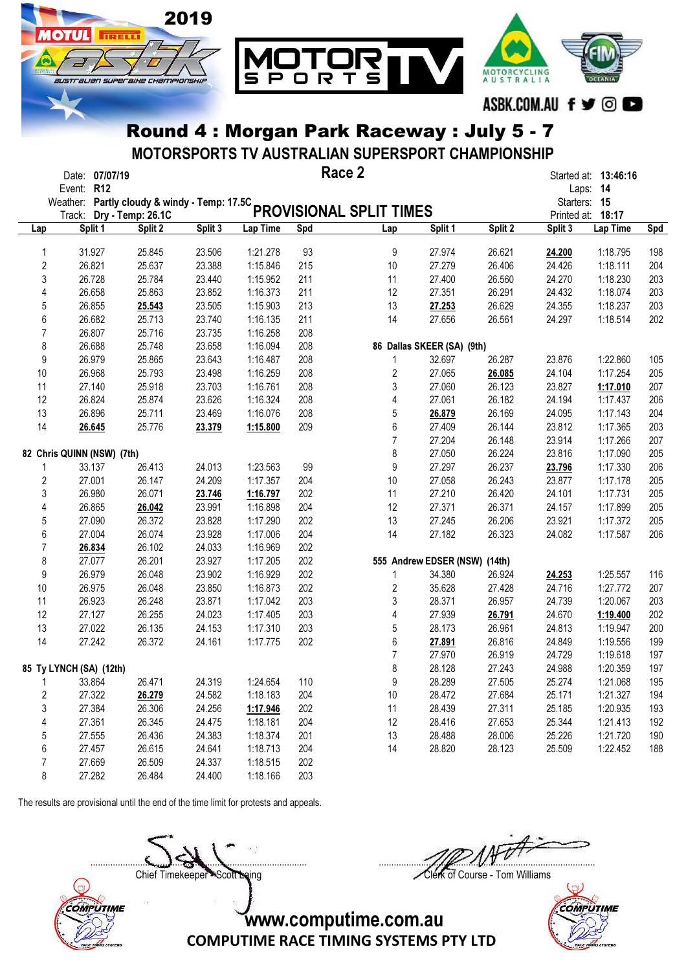

MOTORSPORTS TV AUSTRALIAN SUPERSPORT CHAMPIONSHIP

|                  | Date: 07/07/19<br>Event: R12 |         |         |          |     | Race 2                                                                                |                               |         |         | Started at: 13:46:16<br>Laps: 14  |            |
|------------------|------------------------------|---------|---------|----------|-----|---------------------------------------------------------------------------------------|-------------------------------|---------|---------|-----------------------------------|------------|
|                  |                              |         |         |          |     | Event. Nie<br>Weather: Partly cloudy & windy - Temp: 17.5C<br>PROVISIONAL SPLIT TIMES |                               |         |         | Starters: 15<br>Printed at: 18:17 |            |
| Lap              | Split 1                      | Split 2 | Split 3 | Lap Time | Spd | Lap                                                                                   | Split 1                       | Split 2 | Split 3 | Lap Time                          | <b>Spd</b> |
| 1                | 31.927                       | 25.845  | 23.506  | 1:21.278 | 93  | 9                                                                                     | 27.974                        | 26.621  | 24.200  | 1:18.795                          | 198        |
| $\overline{c}$   | 26.821                       | 25.637  | 23.388  | 1:15.846 | 215 | 10                                                                                    | 27.279                        | 26.406  | 24.426  | 1:18.111                          | 204        |
| $\sqrt{3}$       | 26.728                       | 25.784  | 23.440  | 1:15.952 | 211 | 11                                                                                    | 27.400                        | 26.560  | 24.270  | 1:18.230                          | 203        |
| 4                | 26.658                       | 25.863  | 23.852  | 1:16.373 | 211 | 12                                                                                    | 27.351                        | 26.291  | 24.432  | 1:18.074                          | 203        |
| $\sqrt{5}$       | 26.855                       | 25.543  | 23.505  | 1:15.903 | 213 | 13                                                                                    | 27.253                        | 26.629  | 24.355  | 1:18.237                          | 203        |
| $\boldsymbol{6}$ | 26.682                       | 25.713  | 23.740  | 1:16.135 | 211 | 14                                                                                    | 27.656                        | 26.561  | 24.297  | 1:18.514                          | 202        |
| $\overline{7}$   | 26.807                       | 25.716  | 23.735  | 1:16.258 | 208 |                                                                                       |                               |         |         |                                   |            |
| 8                | 26.688                       | 25.748  | 23.658  | 1:16.094 | 208 |                                                                                       | 86 Dallas SKEER (SA) (9th)    |         |         |                                   |            |
| 9                | 26.979                       | 25.865  | 23.643  | 1:16.487 | 208 | 1                                                                                     | 32.697                        | 26.287  | 23.876  | 1:22.860                          | 105        |
| 10               | 26.968                       | 25.793  | 23.498  | 1:16.259 | 208 | $\overline{c}$                                                                        | 27.065                        | 26.085  | 24.104  | 1:17.254                          | 205        |
| 11               | 27.140                       | 25.918  | 23.703  | 1:16.761 | 208 | 3                                                                                     | 27.060                        | 26.123  | 23.827  | 1:17.010                          | 207        |
| 12               | 26.824                       | 25.874  | 23.626  | 1:16.324 | 208 | 4                                                                                     | 27.061                        | 26.182  | 24.194  | 1:17.437                          | 206        |
| 13               | 26.896                       | 25.711  | 23.469  | 1:16.076 | 208 | 5                                                                                     | 26.879                        | 26.169  | 24.095  | 1:17.143                          | 204        |
| 14               | 26.645                       | 25.776  | 23.379  | 1:15.800 | 209 | $\boldsymbol{6}$                                                                      | 27.409                        | 26.144  | 23.812  | 1:17.365                          | 203        |
|                  |                              |         |         |          |     | $\overline{7}$                                                                        | 27.204                        | 26.148  | 23.914  | 1:17.266                          | 207        |
|                  | 82 Chris QUINN (NSW) (7th)   |         |         |          |     | 8                                                                                     | 27.050                        | 26.224  | 23.816  | 1:17.090                          | 205        |
| 1                | 33.137                       | 26.413  | 24.013  | 1:23.563 | 99  | $\boldsymbol{9}$                                                                      | 27.297                        | 26.237  | 23.796  | 1:17.330                          | 206        |
| $\sqrt{2}$       | 27.001                       | 26.147  | 24.209  | 1:17.357 | 204 | $10$                                                                                  | 27.058                        | 26.243  | 23.877  | 1:17.178                          | 205        |
| $\sqrt{3}$       | 26.980                       | 26.071  | 23.746  | 1:16.797 | 202 | 11                                                                                    | 27.210                        | 26.420  | 24.101  | 1:17.731                          | 205        |
| 4                | 26.865                       | 26.042  | 23.991  | 1:16.898 | 204 | 12                                                                                    | 27.371                        | 26.371  | 24.157  | 1:17.899                          | 205        |
| $\sqrt{5}$       | 27.090                       | 26.372  | 23.828  | 1:17.290 | 202 | 13                                                                                    | 27.245                        | 26.206  | 23.921  | 1:17.372                          | 205        |
|                  | 27.004                       |         |         |          | 204 | 14                                                                                    |                               |         |         |                                   |            |
| $\boldsymbol{6}$ |                              | 26.074  | 23.928  | 1:17.006 |     |                                                                                       | 27.182                        | 26.323  | 24.082  | 1:17.587                          | 206        |
| $\overline{7}$   | 26.834                       | 26.102  | 24.033  | 1:16.969 | 202 |                                                                                       |                               |         |         |                                   |            |
| 8                | 27.077                       | 26.201  | 23.927  | 1:17.205 | 202 |                                                                                       | 555 Andrew EDSER (NSW) (14th) |         |         |                                   |            |
| 9                | 26.979                       | 26.048  | 23.902  | 1:16.929 | 202 | 1                                                                                     | 34.380                        | 26.924  | 24.253  | 1:25.557                          | 116        |
| 10               | 26.975                       | 26.048  | 23.850  | 1:16.873 | 202 | 2                                                                                     | 35.628                        | 27.428  | 24.716  | 1:27.772                          | 207        |
| 11               | 26.923                       | 26.248  | 23.871  | 1:17.042 | 203 | 3                                                                                     | 28.371                        | 26.957  | 24.739  | 1:20.067                          | 203        |
| 12               | 27.127                       | 26.255  | 24.023  | 1:17.405 | 203 | 4                                                                                     | 27.939                        | 26.791  | 24.670  | 1:19.400                          | 202        |
| 13               | 27.022                       | 26.135  | 24.153  | 1:17.310 | 203 | $\mathbf 5$                                                                           | 28.173                        | 26.961  | 24.813  | 1:19.947                          | 200        |
| 14               | 27.242                       | 26.372  | 24.161  | 1:17.775 | 202 | 6                                                                                     | 27.891                        | 26.816  | 24.849  | 1:19.556                          | 199        |
|                  |                              |         |         |          |     | $\overline{7}$                                                                        | 27.970                        | 26.919  | 24.729  | 1:19.618                          | 197        |
|                  | 85 Ty LYNCH (SA) (12th)      |         |         |          |     | 8                                                                                     | 28.128                        | 27.243  | 24.988  | 1:20.359                          | 197        |
|                  | 33.864                       | 26.471  | 24.319  | 1:24.654 | 110 | 9                                                                                     | 28.289                        | 27.505  | 25.274  | 1:21.068                          | 195        |
| 2                | 27.322                       | 26.279  | 24.582  | 1:18.183 | 204 | 10                                                                                    | 28.472                        | 27.684  | 25.171  | 1:21.327                          | 194        |
| $\sqrt{3}$       | 27.384                       | 26.306  | 24.256  | 1:17.946 | 202 | 11                                                                                    | 28.439                        | 27.311  | 25.185  | 1:20.935                          | 193        |
| 4                | 27.361                       | 26.345  | 24.475  | 1:18.181 | 204 | 12                                                                                    | 28.416                        | 27.653  | 25.344  | 1:21.413                          | 192        |
| 5                | 27.555                       | 26.436  | 24.383  | 1:18.374 | 201 | 13                                                                                    | 28.488                        | 28.006  | 25.226  | 1:21.720                          | 190        |
| $\boldsymbol{6}$ | 27.457                       | 26.615  | 24.641  | 1:18.713 | 204 | 14                                                                                    | 28.820                        | 28.123  | 25.509  | 1:22.452                          | 188        |
| $\overline{7}$   | 27.669                       | 26.509  | 24.337  | 1:18.515 | 202 |                                                                                       |                               |         |         |                                   |            |
| $\,8\,$          | 27.282                       | 26.484  | 24.400  | 1:18.166 | 203 |                                                                                       |                               |         |         |                                   |            |

The results are provisional until the end of the time limit for protests and appeals.



....................................................................................... ....................................................................................... Chief Timekeeper - Scott Laing Clerk of Course - Tom Williams

 $\mathbb{Q}$ **COMPUTIME**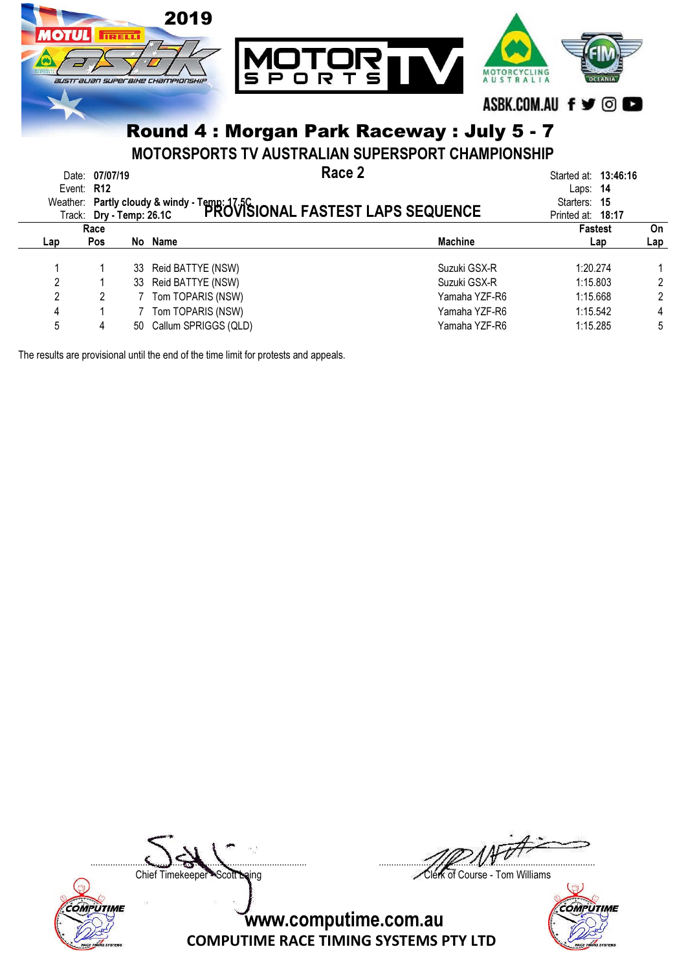

|     | Race |                         |                | <b>Fastest</b> | On  |
|-----|------|-------------------------|----------------|----------------|-----|
| Lap | Pos  | No Name                 | <b>Machine</b> | Lap            | ∟ap |
|     |      | 33 Reid BATTYE (NSW)    | Suzuki GSX-R   | 1:20.274       |     |
|     |      | 33 Reid BATTYE (NSW)    | Suzuki GSX-R   | 1:15.803       |     |
|     |      | Tom TOPARIS (NSW)       | Yamaha YZF-R6  | 1:15.668       |     |
| 4   |      | 7 Tom TOPARIS (NSW)     | Yamaha YZF-R6  | 1:15.542       | 4   |
|     | 4    | 50 Callum SPRIGGS (QLD) | Yamaha YZF-R6  | 1:15.285       | 5   |
|     |      |                         |                |                |     |

The results are provisional until the end of the time limit for protests and appeals.



....................................................................................... .......................................................................................

Chief Timekeeper - Scott Laing Clerk of Course - Tom Williams

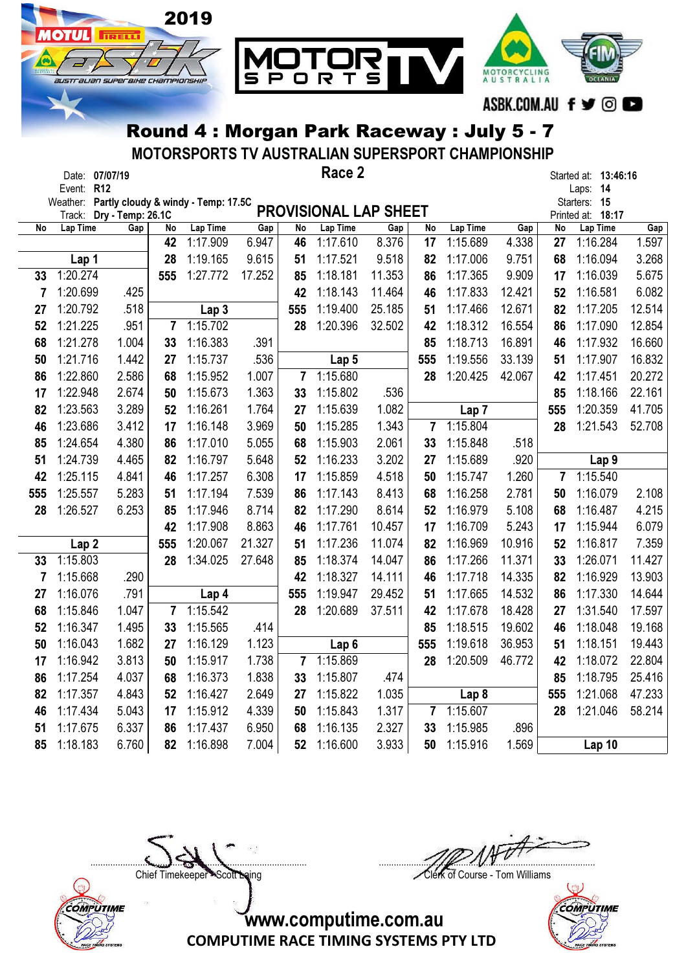

MOTORSPORTS TV AUSTRALIAN SUPERSPORT CHAMPIONSHIP

|     |                  | Date: 07/07/19    |                |                                              |        |                 | Race 2                       |        |                |                  |        |                         | Started at: 13:46:16              |        |
|-----|------------------|-------------------|----------------|----------------------------------------------|--------|-----------------|------------------------------|--------|----------------|------------------|--------|-------------------------|-----------------------------------|--------|
|     | Event: R12       |                   |                |                                              |        |                 |                              |        |                |                  |        |                         | Laps: 14                          |        |
|     | Track:           | Dry - Temp: 26.1C |                | Weather: Partly cloudy & windy - Temp: 17.5C |        |                 | <b>PROVISIONAL LAP SHEET</b> |        |                |                  |        |                         | Starters: 15<br>Printed at: 18:17 |        |
| No  | Lap Time         | Gap               | No             | Lap Time                                     | Gap    | $\overline{No}$ | Lap Time                     | Gap    | No             | Lap Time         | Gap    | No                      | Lap Time                          | Gap    |
|     |                  |                   | 42             | 1:17.909                                     | 6.947  | 46              | 1:17.610                     | 8.376  | 17             | 1:15.689         | 4.338  | 27                      | 1:16.284                          | 1.597  |
|     | Lap 1            |                   | 28             | 1:19.165                                     | 9.615  | 51              | 1:17.521                     | 9.518  | 82             | 1:17.006         | 9.751  | 68                      | 1:16.094                          | 3.268  |
| 33  | 1:20.274         |                   | 555            | 1:27.772                                     | 17.252 | 85              | 1:18.181                     | 11.353 | 86             | 1:17.365         | 9.909  | 17                      | 1:16.039                          | 5.675  |
| 7   | 1:20.699         | .425              |                |                                              |        | 42              | 1:18.143                     | 11.464 | 46             | 1:17.833         | 12.421 | 52                      | 1:16.581                          | 6.082  |
| 27  | 1:20.792         | .518              |                | Lap 3                                        |        | 555             | 1:19.400                     | 25.185 | 51             | 1:17.466         | 12.671 | 82                      | 1:17.205                          | 12.514 |
| 52  | 1:21.225         | .951              | $\overline{7}$ | 1:15.702                                     |        | 28              | 1:20.396                     | 32.502 | 42             | 1:18.312         | 16.554 | 86                      | 1:17.090                          | 12.854 |
| 68  | 1:21.278         | 1.004             | 33             | 1:16.383                                     | .391   |                 |                              |        | 85             | 1:18.713         | 16.891 | 46                      | 1:17.932                          | 16.660 |
| 50  | 1:21.716         | 1.442             | 27             | 1:15.737                                     | .536   |                 | Lap <sub>5</sub>             |        | 555            | 1:19.556         | 33.139 | 51                      | 1:17.907                          | 16.832 |
| 86  | 1:22.860         | 2.586             | 68             | 1:15.952                                     | 1.007  | $\overline{7}$  | 1:15.680                     |        | 28             | 1:20.425         | 42.067 | 42                      | 1:17.451                          | 20.272 |
| 17  | 1:22.948         | 2.674             | 50             | 1:15.673                                     | 1.363  | 33              | 1:15.802                     | .536   |                |                  |        | 85                      | 1:18.166                          | 22.161 |
| 82  | 1:23.563         | 3.289             | 52             | 1:16.261                                     | 1.764  | 27              | 1:15.639                     | 1.082  |                | Lap <sub>7</sub> |        | 555                     | 1:20.359                          | 41.705 |
| 46  | 1:23.686         | 3.412             | 17             | 1:16.148                                     | 3.969  | 50              | 1:15.285                     | 1.343  | 7              | 1:15.804         |        | 28                      | 1:21.543                          | 52.708 |
| 85  | 1:24.654         | 4.380             | 86             | 1:17.010                                     | 5.055  | 68              | 1:15.903                     | 2.061  | 33             | 1:15.848         | .518   |                         |                                   |        |
| 51  | 1:24.739         | 4.465             | 82             | 1:16.797                                     | 5.648  | 52              | 1:16.233                     | 3.202  | 27             | 1:15.689         | .920   |                         | Lap <sub>9</sub>                  |        |
| 42  | 1:25.115         | 4.841             | 46             | 1:17.257                                     | 6.308  | 17              | 1:15.859                     | 4.518  | 50             | 1:15.747         | 1.260  | $\overline{\mathbf{r}}$ | 1:15.540                          |        |
| 555 | 1:25.557         | 5.283             | 51             | 1:17.194                                     | 7.539  | 86              | 1:17.143                     | 8.413  | 68             | 1:16.258         | 2.781  | 50                      | 1:16.079                          | 2.108  |
| 28  | 1:26.527         | 6.253             | 85             | 1:17.946                                     | 8.714  | 82              | 1:17.290                     | 8.614  | 52             | 1:16.979         | 5.108  | 68                      | 1:16.487                          | 4.215  |
|     |                  |                   | 42             | 1:17.908                                     | 8.863  | 46              | 1:17.761                     | 10.457 | 17             | 1:16.709         | 5.243  | 17                      | 1:15.944                          | 6.079  |
|     | Lap <sub>2</sub> |                   | 555            | 1:20.067                                     | 21.327 | 51              | 1:17.236                     | 11.074 | 82             | 1:16.969         | 10.916 | 52                      | 1:16.817                          | 7.359  |
| 33  | 1:15.803         |                   | 28             | 1:34.025                                     | 27.648 | 85              | 1:18.374                     | 14.047 | 86             | 1:17.266         | 11.371 | 33                      | 1:26.071                          | 11.427 |
| 7   | 1:15.668         | .290              |                |                                              |        | 42              | 1:18.327                     | 14.111 | 46             | 1:17.718         | 14.335 | 82                      | 1:16.929                          | 13.903 |
| 27  | 1:16.076         | .791              |                | Lap 4                                        |        | 555             | 1:19.947                     | 29.452 | 51             | 1:17.665         | 14.532 | 86                      | 1:17.330                          | 14.644 |
| 68  | 1:15.846         | 1.047             | 7              | 1:15.542                                     |        | 28              | 1:20.689                     | 37.511 | 42             | 1:17.678         | 18.428 | 27                      | 1:31.540                          | 17.597 |
| 52  | 1:16.347         | 1.495             | 33             | 1:15.565                                     | .414   |                 |                              |        | 85             | 1:18.515         | 19.602 | 46                      | 1:18.048                          | 19.168 |
| 50  | 1:16.043         | 1.682             | 27             | 1:16.129                                     | 1.123  |                 | Lap <sub>6</sub>             |        | 555            | 1:19.618         | 36.953 | 51                      | 1:18.151                          | 19.443 |
| 17  | 1:16.942         | 3.813             | 50             | 1:15.917                                     | 1.738  | $\overline{7}$  | 1:15.869                     |        | 28             | 1:20.509         | 46.772 | 42                      | 1:18.072                          | 22.804 |
| 86  | 1:17.254         | 4.037             | 68             | 1:16.373                                     | 1.838  | 33              | 1:15.807                     | .474   |                |                  |        | 85                      | 1:18.795                          | 25.416 |
| 82  | 1:17.357         | 4.843             | 52             | 1:16.427                                     | 2.649  | 27              | 1:15.822                     | 1.035  |                | Lap <sub>8</sub> |        | 555                     | 1:21.068                          | 47.233 |
| 46  | 1:17.434         | 5.043             | 17             | 1:15.912                                     | 4.339  | 50              | 1:15.843                     | 1.317  | $\overline{7}$ | 1:15.607         |        | 28                      | 1:21.046                          | 58.214 |
| 51  | 1:17.675         | 6.337             | 86             | 1:17.437                                     | 6.950  | 68              | 1:16.135                     | 2.327  | 33             | 1:15.985         | .896   |                         |                                   |        |
| 85  | 1:18.183         | 6.760             | 82             | 1:16.898                                     | 7.004  | 52              | 1:16.600                     | 3.933  | 50             | 1:15.916         | 1.569  |                         | Lap 10                            |        |



....................................................................................... ....................................................................................... Chief Timekeeper - Scott Laing Clerk of Course - Tom Williams

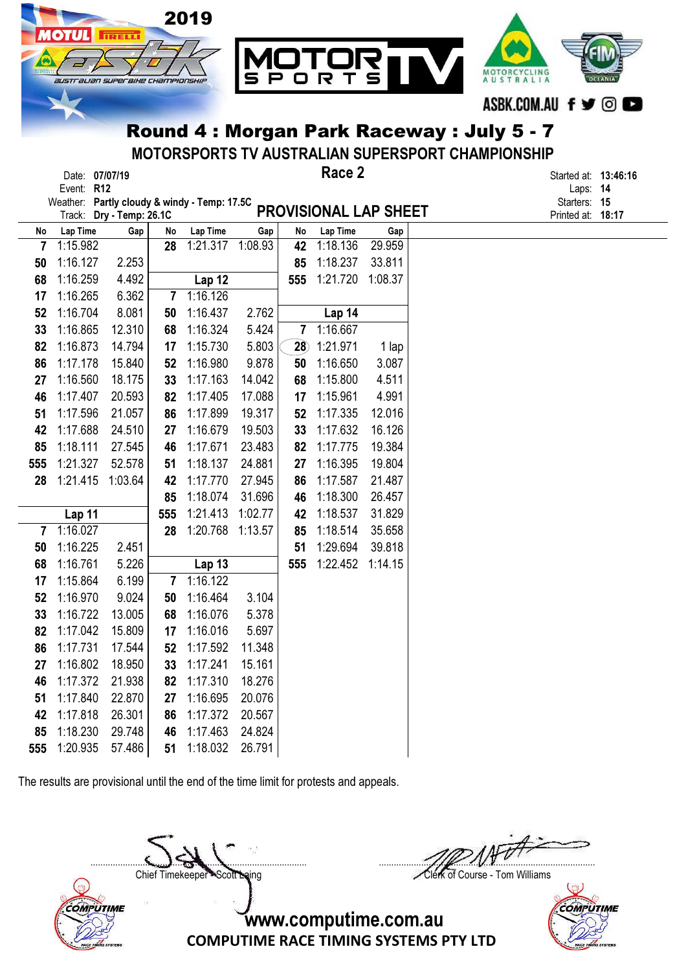

MOTORSPORTS TV AUSTRALIAN SUPERSPORT CHAMPIONSHIP

Race 2

Date: 07/07/19 **Started at: 13:46:16** Started at: 13:46:16

PROVISIONAL LAP SHEET Weather: Partly cloudy & windy - Temp: 17.5C Starters: 15 Track: D**ry - Temp: 26.1C PROVISIONAL LAP SHEE I** Printed at: 18:17

Event: R12 Laps: 14

| No             | Lap Time | Gap     | No                      | Lap Time      | Gap     | No             | Lap Time | Gap     |
|----------------|----------|---------|-------------------------|---------------|---------|----------------|----------|---------|
| $\overline{7}$ | 1:15.982 |         | 28                      | 1:21.317      | 1:08.93 | 42             | 1:18.136 | 29.959  |
| 50             | 1:16.127 | 2.253   |                         |               |         | 85             | 1:18.237 | 33.811  |
| 68             | 1:16.259 | 4.492   |                         | Lap 12        |         | 555            | 1:21.720 | 1:08.37 |
| 17             | 1:16.265 | 6.362   | 7                       | 1:16.126      |         |                |          |         |
| 52             | 1:16.704 | 8.081   | 50                      | 1:16.437      | 2.762   |                | Lap 14   |         |
| 33             | 1:16.865 | 12.310  | 68                      | 1:16.324      | 5.424   | $\overline{7}$ | 1:16.667 |         |
| 82             | 1:16.873 | 14.794  | 17                      | 1:15.730      | 5.803   | 28)            | 1:21.971 | 1 lap   |
| 86             | 1:17.178 | 15.840  | 52                      | 1:16.980      | 9.878   | 50             | 1:16.650 | 3.087   |
| 27             | 1:16.560 | 18.175  | 33                      | 1:17.163      | 14.042  | 68             | 1:15.800 | 4.511   |
| 46             | 1:17.407 | 20.593  | 82                      | 1:17.405      | 17.088  | 17             | 1:15.961 | 4.991   |
| 51             | 1:17.596 | 21.057  | 86                      | 1:17.899      | 19.317  | 52             | 1:17.335 | 12.016  |
| 42             | 1:17.688 | 24.510  | 27                      | 1:16.679      | 19.503  | 33             | 1:17.632 | 16.126  |
| 85             | 1:18.111 | 27.545  | 46                      | 1:17.671      | 23.483  | 82             | 1:17.775 | 19.384  |
| 555            | 1:21.327 | 52.578  | 51                      | 1:18.137      | 24.881  | 27             | 1:16.395 | 19.804  |
| 28             | 1:21.415 | 1:03.64 | 42                      | 1:17.770      | 27.945  | 86             | 1:17.587 | 21.487  |
|                |          |         | 85                      | 1:18.074      | 31.696  | 46             | 1:18.300 | 26.457  |
|                | Lap 11   |         | 555                     | 1:21.413      | 1:02.77 | 42             | 1:18.537 | 31.829  |
| 7              | 1:16.027 |         | 28                      | 1:20.768      | 1:13.57 | 85             | 1:18.514 | 35.658  |
| 50             | 1:16.225 | 2.451   |                         |               |         | 51             | 1:29.694 | 39.818  |
| 68             | 1:16.761 | 5.226   |                         | <b>Lap 13</b> |         | 555            | 1:22.452 | 1:14.15 |
| 17             | 1:15.864 | 6.199   | $\overline{\mathbf{r}}$ | 1:16.122      |         |                |          |         |
| 52             | 1:16.970 | 9.024   | 50                      | 1:16.464      | 3.104   |                |          |         |
| 33             | 1:16.722 | 13.005  | 68                      | 1:16.076      | 5.378   |                |          |         |
| 82             | 1:17.042 | 15.809  | 17                      | 1:16.016      | 5.697   |                |          |         |
| 86             | 1:17.731 | 17.544  | 52                      | 1:17.592      | 11.348  |                |          |         |
| 27             | 1:16.802 | 18.950  | 33                      | 1:17.241      | 15.161  |                |          |         |
| 46             | 1:17.372 | 21.938  | 82                      | 1:17.310      | 18.276  |                |          |         |
| 51             | 1:17.840 | 22.870  | 27                      | 1:16.695      | 20.076  |                |          |         |
| 42             | 1:17.818 | 26.301  | 86                      | 1:17.372      | 20.567  |                |          |         |
| 85             | 1:18.230 | 29.748  | 46                      | 1:17.463      | 24.824  |                |          |         |
| 555            | 1:20.935 | 57.486  | 51                      | 1:18.032      | 26.791  |                |          |         |

The results are provisional until the end of the time limit for protests and appeals.

**COMPUTIME** 

....................................................................................... .......................................................................................

Chief Timekeeper Scott Laing Chief Timekeeper Scott Laing

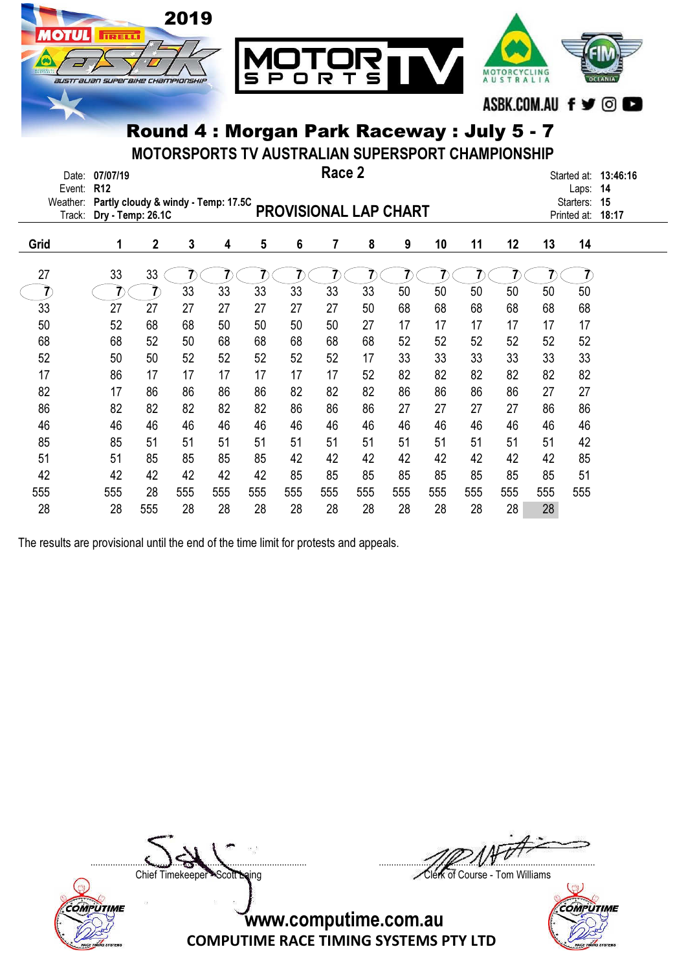

MOTORSPORTS TV AUSTRALIAN SUPERSPORT CHAMPIONSHIP

| Date:<br>Event:<br>Weather:<br>Track: | 07/07/19<br>R <sub>12</sub><br>Partly cloudy & windy - Temp: 17.5C<br>Dry - Temp: 26.1C |                |     |     |     |                | Race 2<br><b>PROVISIONAL LAP CHART</b> |     |     |     |     |     |     | Laps:<br>Starters:<br>Printed at: | Started at: 13:46:16<br>14<br>15<br>18:17 |
|---------------------------------------|-----------------------------------------------------------------------------------------|----------------|-----|-----|-----|----------------|----------------------------------------|-----|-----|-----|-----|-----|-----|-----------------------------------|-------------------------------------------|
| Grid                                  | 1                                                                                       | $\overline{2}$ | 3   | 4   | 5   | $6\phantom{a}$ | 7                                      | 8   | 9   | 10  | 11  | 12  | 13  | 14                                |                                           |
| 27                                    | 33                                                                                      | 33             |     |     |     |                |                                        |     |     |     |     |     |     |                                   |                                           |
|                                       |                                                                                         |                | 33  | 33  | 33  | 33             | 33                                     | 33  | 50  | 50  | 50  | 50  | 50  | 50                                |                                           |
| 33                                    | 27                                                                                      | 27             | 27  | 27  | 27  | 27             | 27                                     | 50  | 68  | 68  | 68  | 68  | 68  | 68                                |                                           |
| 50                                    | 52                                                                                      | 68             | 68  | 50  | 50  | 50             | 50                                     | 27  | 17  | 17  | 17  | 17  | 17  | 17                                |                                           |
| 68                                    | 68                                                                                      | 52             | 50  | 68  | 68  | 68             | 68                                     | 68  | 52  | 52  | 52  | 52  | 52  | 52                                |                                           |
| 52                                    | 50                                                                                      | 50             | 52  | 52  | 52  | 52             | 52                                     | 17  | 33  | 33  | 33  | 33  | 33  | 33                                |                                           |
| 17                                    | 86                                                                                      | 17             | 17  | 17  | 17  | 17             | 17                                     | 52  | 82  | 82  | 82  | 82  | 82  | 82                                |                                           |
| 82                                    | 17                                                                                      | 86             | 86  | 86  | 86  | 82             | 82                                     | 82  | 86  | 86  | 86  | 86  | 27  | 27                                |                                           |
| 86                                    | 82                                                                                      | 82             | 82  | 82  | 82  | 86             | 86                                     | 86  | 27  | 27  | 27  | 27  | 86  | 86                                |                                           |
| 46                                    | 46                                                                                      | 46             | 46  | 46  | 46  | 46             | 46                                     | 46  | 46  | 46  | 46  | 46  | 46  | 46                                |                                           |
| 85                                    | 85                                                                                      | 51             | 51  | 51  | 51  | 51             | 51                                     | 51  | 51  | 51  | 51  | 51  | 51  | 42                                |                                           |
| 51                                    | 51                                                                                      | 85             | 85  | 85  | 85  | 42             | 42                                     | 42  | 42  | 42  | 42  | 42  | 42  | 85                                |                                           |
| 42                                    | 42                                                                                      | 42             | 42  | 42  | 42  | 85             | 85                                     | 85  | 85  | 85  | 85  | 85  | 85  | 51                                |                                           |
| 555                                   | 555                                                                                     | 28             | 555 | 555 | 555 | 555            | 555                                    | 555 | 555 | 555 | 555 | 555 | 555 | 555                               |                                           |
| 28                                    | 28                                                                                      | 555            | 28  | 28  | 28  | 28             | 28                                     | 28  | 28  | 28  | 28  | 28  | 28  |                                   |                                           |

The results are provisional until the end of the time limit for protests and appeals.



....................................................................................... .......................................................................................

Chief Timekeeper - Scott Laing Clerk of Course - Tom Williams

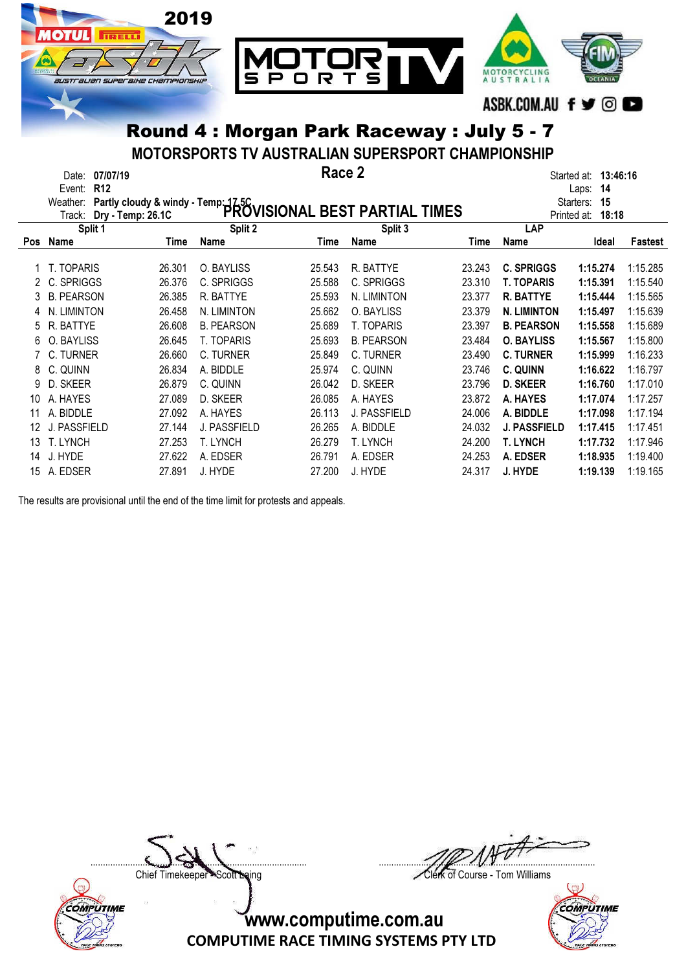

MOTORSPORTS TV AUSTRALIAN SUPERSPORT CHAMPIONSHIP

|            | Date:<br><b>R12</b><br>Event:<br>Weather:<br>Track: | 07/07/19<br>Partly cloudy & windy - Temp: 1756<br>Dry - Temp: 26 1C PROVISIONAL BEST PARTIAL TIMES<br>Dry - Temp: 26.1C |                   | Race 2 |                   |        |                     | 13:46:16<br>Started at:<br>14<br>Laps:<br>Starters:<br>15<br>Printed at:<br>18:18 |                |
|------------|-----------------------------------------------------|-------------------------------------------------------------------------------------------------------------------------|-------------------|--------|-------------------|--------|---------------------|-----------------------------------------------------------------------------------|----------------|
|            | Split 1                                             |                                                                                                                         | Split 2           |        | Split 3           |        | LAP                 |                                                                                   |                |
| <b>Pos</b> | Name                                                | Time                                                                                                                    | Name              | Time   | Name              | Time   | Name                | Ideal                                                                             | <b>Fastest</b> |
|            | T. TOPARIS                                          | 26.301                                                                                                                  | O. BAYLISS        | 25.543 | R. BATTYE         | 23.243 | <b>C. SPRIGGS</b>   | 1:15.274                                                                          | 1:15.285       |
|            | C. SPRIGGS                                          | 26.376                                                                                                                  | C. SPRIGGS        | 25.588 | C. SPRIGGS        | 23.310 | <b>T. TOPARIS</b>   | 1:15.391                                                                          | 1:15.540       |
|            | <b>B. PEARSON</b>                                   | 26.385                                                                                                                  | R. BATTYE         | 25.593 | N. LIMINTON       | 23.377 | <b>R. BATTYE</b>    | 1:15.444                                                                          | 1:15.565       |
|            | N. LIMINTON                                         | 26.458                                                                                                                  | N. LIMINTON       | 25.662 | O. BAYLISS        | 23.379 | <b>N. LIMINTON</b>  | 1:15.497                                                                          | 1:15.639       |
| 5          | R. BATTYE                                           | 26.608                                                                                                                  | <b>B. PEARSON</b> | 25.689 | <b>T. TOPARIS</b> | 23.397 | <b>B. PEARSON</b>   | 1:15.558                                                                          | 1:15.689       |
| 6          | O. BAYLISS                                          | 26.645                                                                                                                  | <b>T. TOPARIS</b> | 25.693 | <b>B. PEARSON</b> | 23.484 | <b>O. BAYLISS</b>   | 1:15.567                                                                          | 1:15.800       |
|            | C. TURNER                                           | 26.660                                                                                                                  | C. TURNER         | 25.849 | C. TURNER         | 23.490 | <b>C. TURNER</b>    | 1:15.999                                                                          | 1:16.233       |
| 8          | C. QUINN                                            | 26.834                                                                                                                  | A. BIDDLE         | 25.974 | C. QUINN          | 23.746 | C. QUINN            | 1:16.622                                                                          | 1:16.797       |
| 9          | D. SKEER                                            | 26.879                                                                                                                  | C. QUINN          | 26.042 | D. SKEER          | 23.796 | <b>D. SKEER</b>     | 1:16.760                                                                          | 1:17.010       |
| 10         | A. HAYES                                            | 27.089                                                                                                                  | D. SKEER          | 26.085 | A. HAYES          | 23.872 | A. HAYES            | 1:17.074                                                                          | 1:17.257       |
| 11         | A. BIDDLE                                           | 27.092                                                                                                                  | A. HAYES          | 26.113 | J. PASSFIELD      | 24.006 | A. BIDDLE           | 1:17.098                                                                          | 1:17.194       |
| 12         | J. PASSFIELD                                        | 27.144                                                                                                                  | J. PASSFIELD      | 26.265 | A. BIDDLE         | 24.032 | <b>J. PASSFIELD</b> | 1:17.415                                                                          | 1:17.451       |
| 13         | <b>T. LYNCH</b>                                     | 27.253                                                                                                                  | T. LYNCH          | 26.279 | <b>T. LYNCH</b>   | 24.200 | T. LYNCH            | 1:17.732                                                                          | 1:17.946       |
| 14         | J. HYDE                                             | 27.622                                                                                                                  | A. EDSER          | 26.791 | A. EDSER          | 24.253 | A. EDSER            | 1:18.935                                                                          | 1:19.400       |
| 15         | A. EDSER                                            | 27.891                                                                                                                  | J. HYDE           | 27.200 | J. HYDE           | 24.317 | J. HYDE             | 1:19.139                                                                          | 1:19.165       |

The results are provisional until the end of the time limit for protests and appeals.



....................................................................................... .......................................................................................

Chief Timekeeper - Scott Laing Clerk of Course - Tom Williams

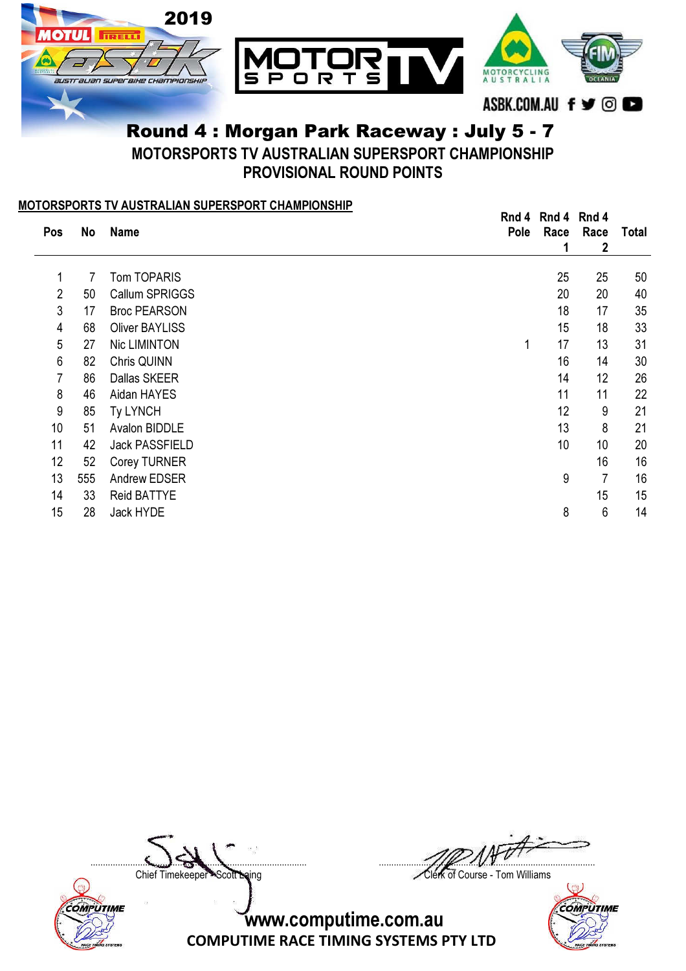

# Round 4 : Morgan Park Raceway : July 5 - 7 MOTORSPORTS TV AUSTRALIAN SUPERSPORT CHAMPIONSHIP

PROVISIONAL ROUND POINTS

#### MOTORSPORTS TV AUSTRALIAN SUPERSPORT CHAMPIONSHIP

|     |     |                       | Rnd 4 | Rnd 4 | Rnd 4 |       |
|-----|-----|-----------------------|-------|-------|-------|-------|
| Pos | No  | <b>Name</b>           | Pole  | Race  | Race  | Total |
|     |     |                       |       | 1     | 2     |       |
|     |     |                       |       |       |       |       |
| 1   | 7   | <b>Tom TOPARIS</b>    |       | 25    | 25    | 50    |
| 2   | 50  | Callum SPRIGGS        |       | 20    | 20    | 40    |
| 3   | 17  | <b>Broc PEARSON</b>   |       | 18    | 17    | 35    |
| 4   | 68  | <b>Oliver BAYLISS</b> |       | 15    | 18    | 33    |
| 5   | 27  | Nic LIMINTON          | 1     | 17    | 13    | 31    |
| 6   | 82  | Chris QUINN           |       | 16    | 14    | 30    |
| 7   | 86  | Dallas SKEER          |       | 14    | 12    | 26    |
| 8   | 46  | Aidan HAYES           |       | 11    | 11    | 22    |
| 9   | 85  | Ty LYNCH              |       | 12    | 9     | 21    |
| 10  | 51  | Avalon BIDDLE         |       | 13    | 8     | 21    |
| 11  | 42  | <b>Jack PASSFIELD</b> |       | 10    | 10    | 20    |
| 12  | 52  | Corey TURNER          |       |       | 16    | 16    |
| 13  | 555 | Andrew EDSER          |       | 9     | 7     | 16    |
| 14  | 33  | <b>Reid BATTYE</b>    |       |       | 15    | 15    |
| 15  | 28  | Jack HYDE             |       | 8     | 6     | 14    |
|     |     |                       |       |       |       |       |



....................................................................................... .......................................................................................

Chief Timekeeper - Scott Laing Clerk of Course - Tom Williams